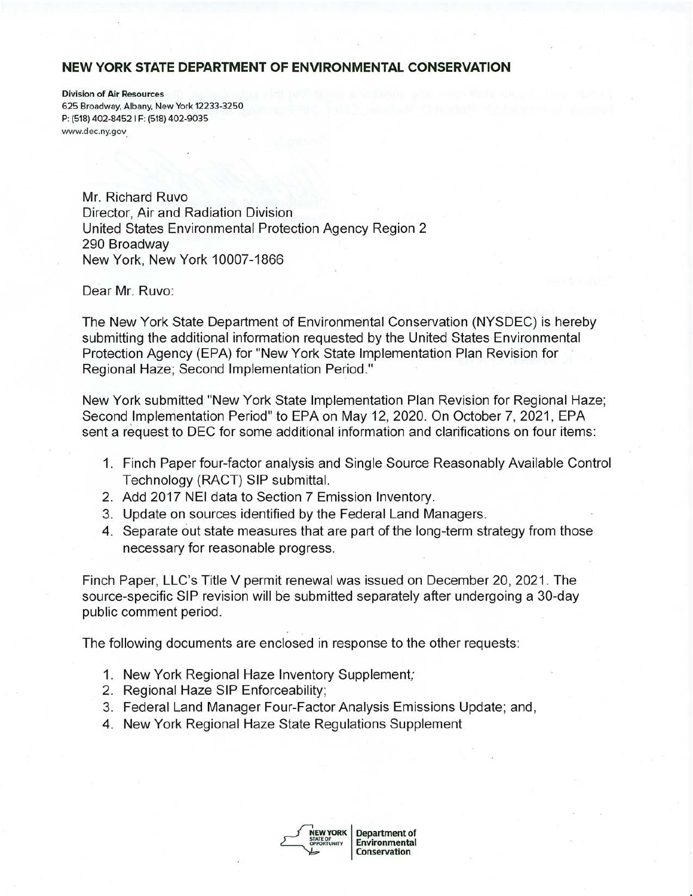#### **NEW YORK STATE DEPARTMENT OF ENVIRONMENTAL CONSERVATION**

Division of Air Resources 625 Broadway, Albany, New York 12233-3250 P: (518) 402-8452 I F: (518) 402-9035 <www.dec.ny.gov>\_

> Mr. Richard Ruvo Director, Air and Radiation Division United States Environmental Protection Agency Region 2 290 Broadway New York, New York 10007-1866

Dear Mr. Ruvo:

The New York State Department of Environmental Conservation (NYSDEC) is hereby submitting the additional information requested by the United States Environmental Protection Agency (EPA) for "New York State Implementation Plan Revision for Regional Haze; Second Implementation Period."

New York submitted "New York State Implementation Plan Revision for Regional Haze; Second Implementation Period" to EPA on May 12, 2020. On October 7, 2021, EPA sent a request to DEC for some additional information and clarifications on four items:

- 1. Finch Paper four-factor analysis and Single Source Reasonably Available Control Technology (RACT) SIP submittal.
- 2. Add 2017 **NEI** data to Section 7 Emission Inventory.
- 3. Update on sources identified by the Federal Land Managers.
- **4.** Separate out state measures that are part of the long-term strategy from those necessary for reasonable progress.

Finch Paper, LLC's Title V permit renewal was issued on December 20, 2021. The source-specific SIP revision will be submitted separately after undergoing a 30-day public comment period.

The following documents are enclosed in response to the other requests:

- 1. New York Regional Haze Inventory Supplement;
- 2. Regional Haze SIP Enforceability;
- 3. Federal Land Manager Four-Factor Analysis Emissions Update; and,
- 4. New York Regional Haze State Regulations Supplement



**NEW YORK** | Department of **Environmental Conservation**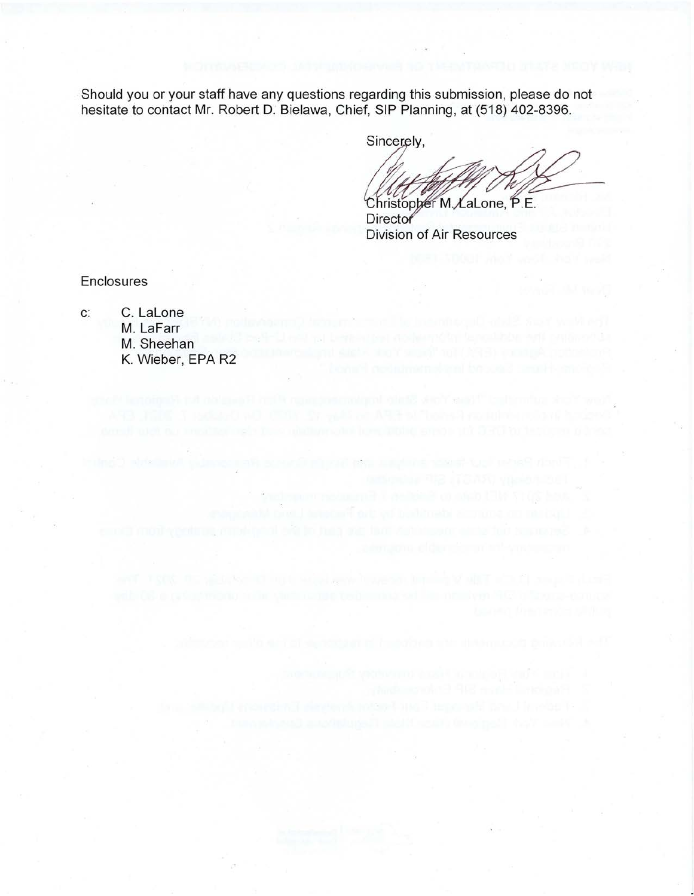Should you or your staff have any questions regarding this submission, please do not hesitate to contact Mr. Robert D. Bielawa, Chief, SIP Planning, at (518) 402-8396.

Sincerely,

Christopher M. LaLone, P.E.

**Director** Division of Air Resources

**Enclosures** 

c: C. Lalone M. LaFarr M. Sheehan K. Wieber, EPA R2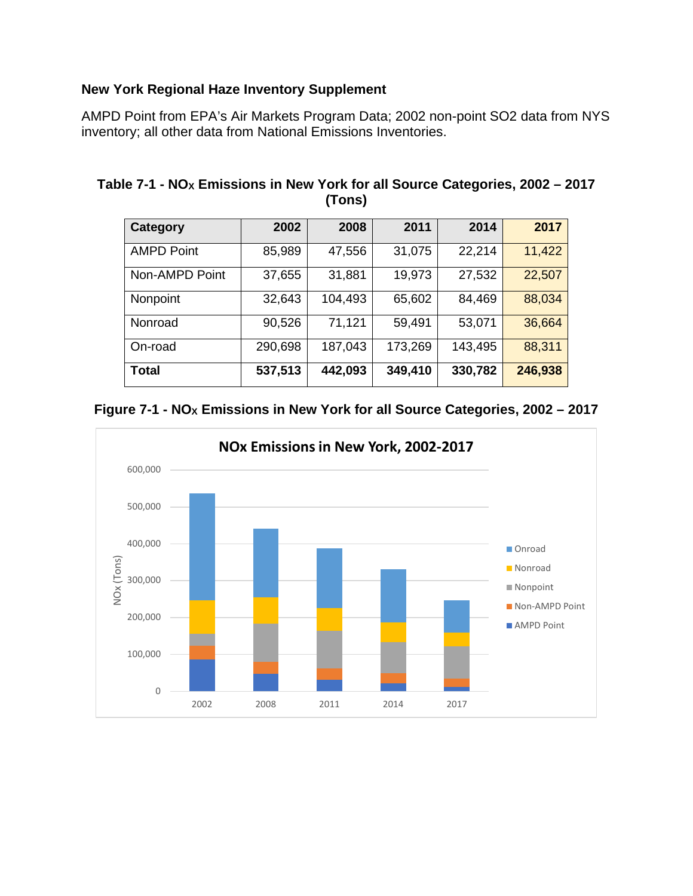# **New York Regional Haze Inventory Supplement**

 AMPD Point from EPA's Air Markets Program Data; 2002 non-point SO2 data from NYS inventory; all other data from National Emissions Inventories.

| Category          | 2002    | 2008    | 2011    | 2014    | 2017    |
|-------------------|---------|---------|---------|---------|---------|
| <b>AMPD Point</b> | 85,989  | 47,556  | 31,075  | 22,214  | 11,422  |
| Non-AMPD Point    | 37,655  | 31,881  | 19,973  | 27,532  | 22,507  |
| Nonpoint          | 32,643  | 104,493 | 65,602  | 84,469  | 88,034  |
| Nonroad           | 90,526  | 71,121  | 59,491  | 53,071  | 36,664  |
| On-road           | 290,698 | 187,043 | 173,269 | 143,495 | 88,311  |
| <b>Total</b>      | 537,513 | 442,093 | 349,410 | 330,782 | 246,938 |

 **Table 7-1 - NOX Emissions in New York for all Source Categories, 2002 – 2017 (Tons)** 



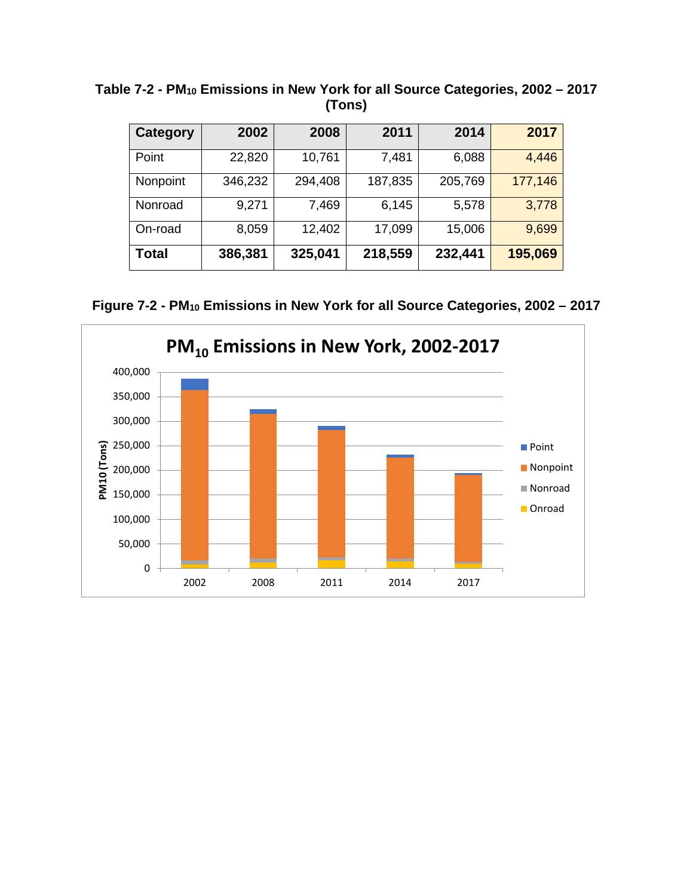| <b>Category</b> | 2002    | 2008    | 2011    | 2014    | 2017    |
|-----------------|---------|---------|---------|---------|---------|
| Point           | 22,820  | 10,761  | 7,481   | 6,088   | 4,446   |
| Nonpoint        | 346,232 | 294,408 | 187,835 | 205,769 | 177,146 |
| Nonroad         | 9,271   | 7,469   | 6,145   | 5,578   | 3,778   |
| On-road         | 8,059   | 12,402  | 17,099  | 15,006  | 9,699   |
| Total           | 386,381 | 325,041 | 218,559 | 232,441 | 195,069 |

 **Table 7-2 - PM10 Emissions in New York for all Source Categories, 2002 – 2017 (Tons)** 

 **Figure 7-2 - PM10 Emissions in New York for all Source Categories, 2002 – 2017** 

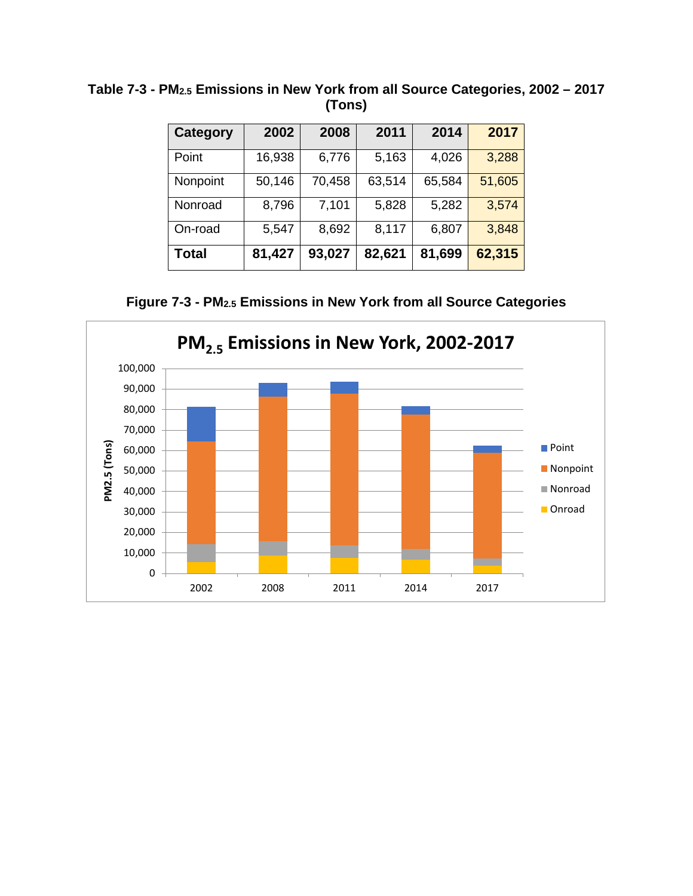| Category | 2002   | 2008   | 2011   | 2014   | 2017   |
|----------|--------|--------|--------|--------|--------|
| Point    | 16,938 | 6,776  | 5,163  | 4,026  | 3,288  |
| Nonpoint | 50,146 | 70,458 | 63,514 | 65,584 | 51,605 |
| Nonroad  | 8,796  | 7,101  | 5,828  | 5,282  | 3,574  |
| On-road  | 5,547  | 8,692  | 8,117  | 6,807  | 3,848  |
| Total    | 81,427 | 93,027 | 82,621 | 81,699 | 62,315 |

 **Table 7-3 - PM2.5 Emissions in New York from all Source Categories, 2002 – 2017 (Tons)** 

 **Figure 7-3 - PM2.5 Emissions in New York from all Source Categories** 

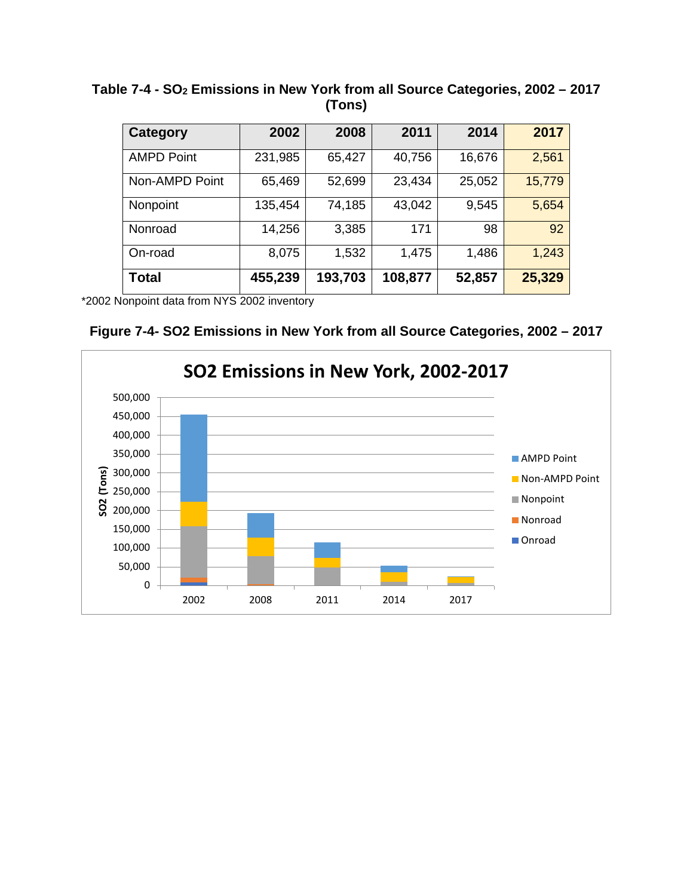**Table 7-4 - SO2 Emissions in New York from all Source Categories, 2002 – 2017 (Tons)** 

| Category          | 2002    | 2008    | 2011    | 2014   | 2017   |
|-------------------|---------|---------|---------|--------|--------|
| <b>AMPD Point</b> | 231,985 | 65,427  | 40,756  | 16,676 | 2,561  |
| Non-AMPD Point    | 65,469  | 52,699  | 23,434  | 25,052 | 15,779 |
| Nonpoint          | 135,454 | 74,185  | 43,042  | 9,545  | 5,654  |
| Nonroad           | 14,256  | 3,385   | 171     | 98     | 92     |
| On-road           | 8,075   | 1,532   | 1,475   | 1,486  | 1,243  |
| <b>Total</b>      | 455,239 | 193,703 | 108,877 | 52,857 | 25,329 |

\*2002 Nonpoint data from NYS 2002 inventory

 **Figure 7-4- SO2 Emissions in New York from all Source Categories, 2002 – 2017** 

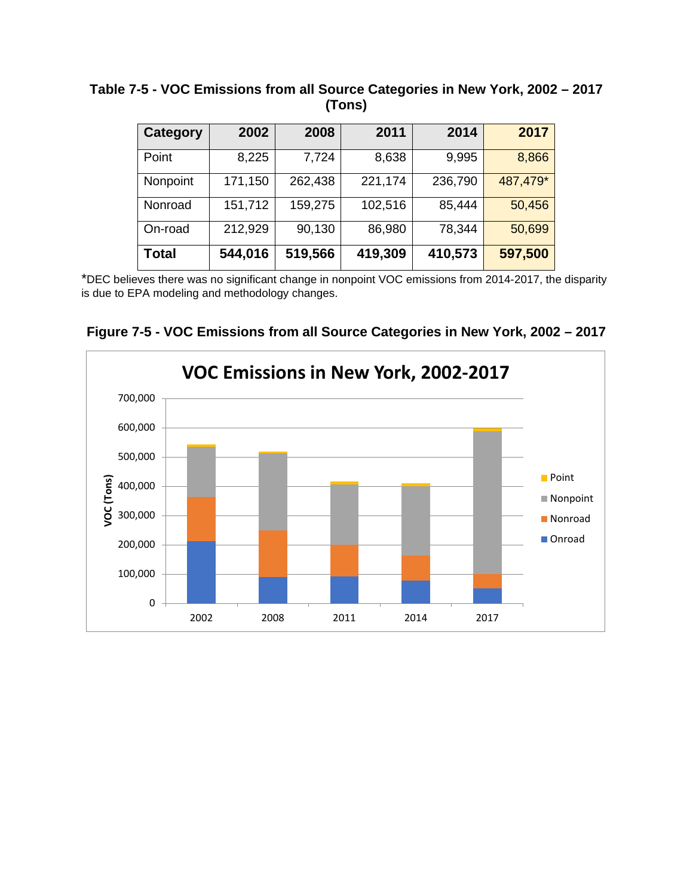| Category     | 2002    | 2008    | 2011    | 2014    | 2017     |
|--------------|---------|---------|---------|---------|----------|
| Point        | 8,225   | 7,724   | 8,638   | 9,995   | 8,866    |
| Nonpoint     | 171,150 | 262,438 | 221,174 | 236,790 | 487,479* |
| Nonroad      | 151,712 | 159,275 | 102,516 | 85,444  | 50,456   |
| On-road      | 212,929 | 90,130  | 86,980  | 78,344  | 50,699   |
| <b>Total</b> | 544,016 | 519,566 | 419,309 | 410,573 | 597,500  |

 **Table 7-5 - VOC Emissions from all Source Categories in New York, 2002 – 2017 (Tons)** 

 is due to EPA modeling and methodology changes. \*DEC believes there was no significant change in nonpoint VOC emissions from 2014-2017, the disparity

 **Figure 7-5 - VOC Emissions from all Source Categories in New York, 2002 – 2017** 

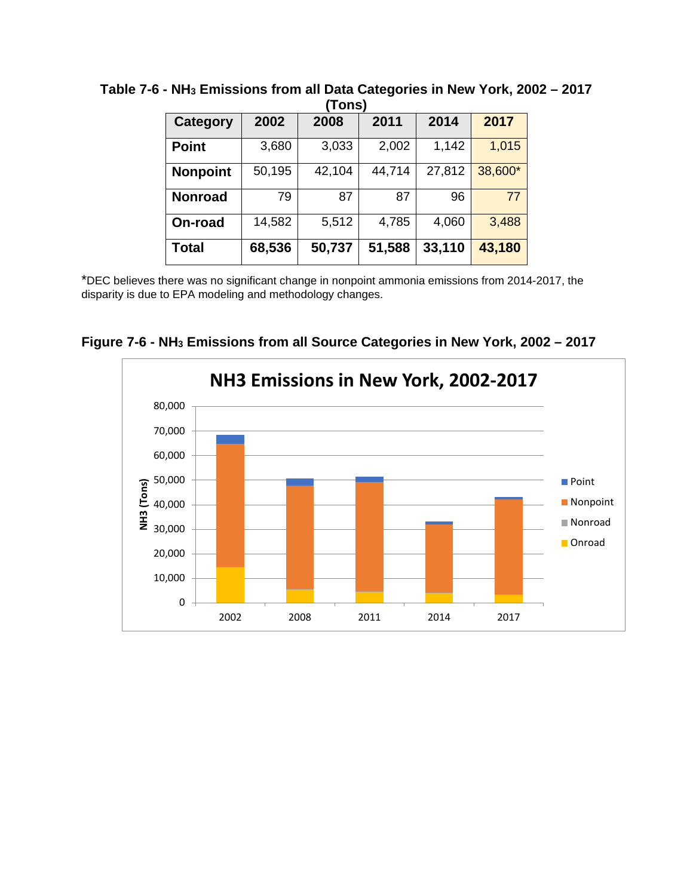| .               |        |        |        |        |         |  |  |  |
|-----------------|--------|--------|--------|--------|---------|--|--|--|
| Category        | 2002   | 2008   | 2011   | 2014   | 2017    |  |  |  |
| <b>Point</b>    | 3,680  | 3,033  | 2,002  | 1,142  | 1,015   |  |  |  |
| <b>Nonpoint</b> | 50,195 | 42,104 | 44,714 | 27,812 | 38,600* |  |  |  |
| <b>Nonroad</b>  | 79     | 87     | 87     | 96     | 77      |  |  |  |
| On-road         | 14,582 | 5,512  | 4,785  | 4,060  | 3,488   |  |  |  |
| <b>Total</b>    | 68,536 | 50,737 | 51,588 | 33,110 | 43,180  |  |  |  |

 **Table 7-6 - NH3 Emissions from all Data Categories in New York, 2002 – 2017 (Tons)** 

 disparity is due to EPA modeling and methodology changes. \*DEC believes there was no significant change in nonpoint ammonia emissions from 2014-2017, the



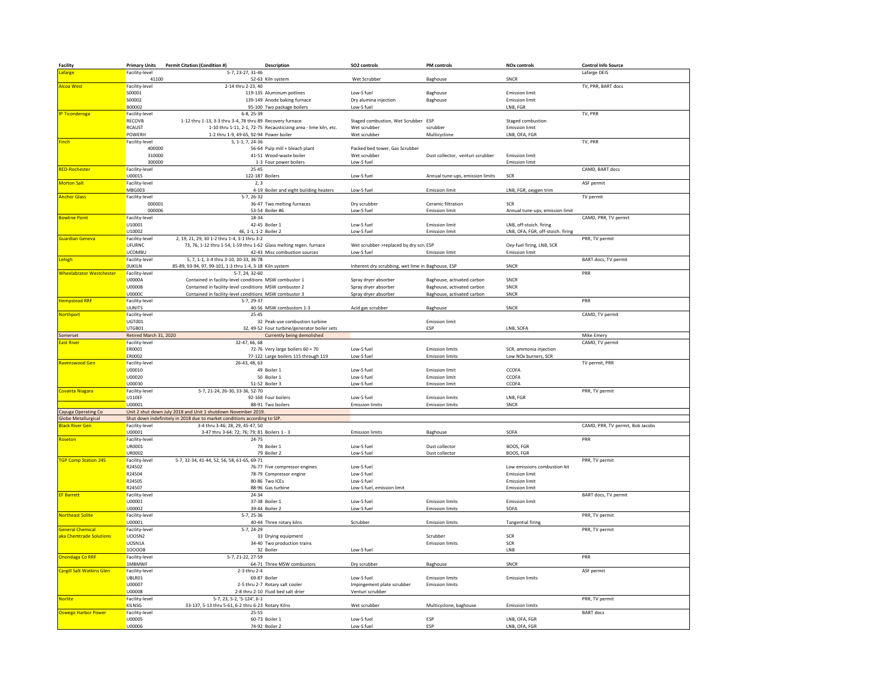| Facility                                          | <b>Primary Units</b>            | Permit Citation (Condition #)                                             | Description                                                      | SO2 controls                                      | <b>PM</b> controls                               | <b>NOx controls</b>               | <b>Control Info Source</b>       |
|---------------------------------------------------|---------------------------------|---------------------------------------------------------------------------|------------------------------------------------------------------|---------------------------------------------------|--------------------------------------------------|-----------------------------------|----------------------------------|
| Lafarge                                           | Facility-level                  | 5-7, 23-27, 31-46                                                         |                                                                  |                                                   |                                                  |                                   | Lafarge DEIS                     |
|                                                   | 41100                           |                                                                           | 52-63 Kiln system                                                | Wet Scrubber                                      | Baghouse                                         | SNCR                              |                                  |
| Alcoa West                                        | Facility-level<br>S00001        | 2-14 thru 2-23, 40                                                        | 119-135 Aluminum potlines                                        | Low-S fuel                                        | Baghouse                                         | <b>Emission limit</b>             | TV, PRR, BART docs               |
|                                                   | S00002                          |                                                                           | 139-149 Anode baking furnace                                     | Dry alumina injection                             | Baghouse                                         | <b>Emission limit</b>             |                                  |
|                                                   | B00002                          |                                                                           | 95-100 Two package boilers                                       | Low-S fuel                                        |                                                  | LNB, FGR                          |                                  |
| <b>IP Ticonderoga</b>                             | Facility-level                  | $6 - 8, 25 - 39$                                                          |                                                                  |                                                   |                                                  |                                   | TV, PRR                          |
|                                                   | RECOVB                          | 1-12 thru 1-13, 3-3 thru 3-4, 78 thru 89 Recovery furnace                 |                                                                  | Staged combustion, Wet Scrubber ESP               |                                                  | Staged combustion                 |                                  |
|                                                   | RCAUST                          |                                                                           | 1-10 thru 1-11, 2-1, 72-75 Recausticizing area - lime kiln, etc. | Wet scrubber                                      | scrubber                                         | <b>Emission limit</b>             |                                  |
|                                                   | POWERH                          | 1-2 thru 1-9, 49-65, 92-94 Power boiler                                   |                                                                  | Wet scrubber                                      | Multicyclone                                     | LNB, OFA, FGR                     |                                  |
| <b>Finch</b>                                      | Facility-level                  | 5, 1-1, 7, 24-36                                                          |                                                                  |                                                   |                                                  |                                   | TV, PRR                          |
|                                                   | 400000<br>310000                |                                                                           | 56-64 Pulp mill + bleach plant<br>41-51 Wood-waste boiler        | Packed bed tower. Gas Scrubber<br>Wet scrubber    |                                                  | <b>Emission limit</b>             |                                  |
|                                                   | 300000                          |                                                                           | 1-3 Four power boilers                                           | Low-S fuel                                        | Dust collector, venturi scrubber                 | <b>Emission limit</b>             |                                  |
| <b>RED-Rochester</b>                              | Facility-level                  | $25 - 45$                                                                 |                                                                  |                                                   |                                                  |                                   | CAMD, BART docs                  |
|                                                   | U00015                          | 122-187 Boilers                                                           |                                                                  | Low-S fuel                                        | Annual tune-ups, emission limits                 | SCR                               |                                  |
| <b>Morton Salt</b>                                | Facility-level                  | 2, 3                                                                      |                                                                  |                                                   |                                                  |                                   | ASF permit                       |
|                                                   | MBG003                          |                                                                           | 4-19 Boiler and eight building heaters                           | Low-S fuel                                        | <b>Emission limit</b>                            | LNB, FGR, oxygen trim             |                                  |
| <b>Anchor Glass</b>                               | Facility-level<br>000001        | $5-7, 26-32$                                                              |                                                                  |                                                   | Ceramic filtration                               | <b>SCR</b>                        | TV permit                        |
|                                                   | 000006                          |                                                                           | 36-47 Two melting furnaces<br>53-54 Boiler #6                    | Drv scrubber<br>Low-S fuel                        | <b>Emission limit</b>                            | Annual tune-ups, emission limit   |                                  |
| <b>Bowline Point</b>                              | Facility-level                  | 18-34                                                                     |                                                                  |                                                   |                                                  |                                   | CAMD, PRR, TV permit             |
|                                                   | U10001                          |                                                                           | 42-45 Boiler 1                                                   | Low-S fuel                                        | <b>Emission limit</b>                            | LNB, off-stoich. firing           |                                  |
|                                                   | U10002                          | 46, 1-1, 1-2 Boiler 2                                                     |                                                                  | Low-S fuel                                        | <b>Emission limit</b>                            | LNB, OFA, FGR, off-stoich. firing |                                  |
| Guardian Geneva                                   | Facility-level                  | 2, 19, 21, 29, 30 1-2 thru 1-4, 3-1 thru 3-2                              |                                                                  |                                                   |                                                  |                                   | PRR, TV permit                   |
|                                                   | UFURNC                          | 73, 76, 1-12 thru 1-54, 1-59 thru 1-62 Glass melting regen. furnace       |                                                                  | Wet scrubber->replaced by dry scruESP             |                                                  | Oxy-fuel firing, LNB, SCR         |                                  |
|                                                   | <b>UCOMBU</b>                   | 5, 7, 1-1, 3-4 thru 3-10, 30-33, 36-78                                    | 42-43 Misc combustion sources                                    | Low-S fuel                                        | <b>Emission limit</b>                            | <b>Emission limit</b>             |                                  |
| Lehigh                                            | Facility-level<br><b>OUKILN</b> | 85-89, 93-94, 97, 99-101, 1-3 thru 1-4, 3-18 Kiln system                  |                                                                  | Inherent dry scrubbing, wet lime in Baghouse, ESP |                                                  | SNCR                              | BART docs, TV permit             |
| Wheelabrator Westchester                          | Facility-level                  | 5-7, 24, 32-60                                                            |                                                                  |                                                   |                                                  |                                   | PRR                              |
|                                                   | U0000A                          | Contained in facility-level conditions MSW combustor 1                    |                                                                  | Spray dryer absorber                              | Baghouse, activated carbon                       | SNCR                              |                                  |
|                                                   | U0000B                          | Contained in facility-level conditions MSW combustor 2                    |                                                                  | Spray dryer absorber                              | Baghouse, activated carbon                       | SNCR                              |                                  |
|                                                   | U0000C                          | Contained in facility-level conditions MSW combustor 3                    |                                                                  | Spray dryer absorber                              | Baghouse, activated carbon                       | SNCR                              |                                  |
| <b>lempstead RRF</b>                              | Facility-level                  | 5-7, 29-37                                                                |                                                                  |                                                   |                                                  |                                   | PRR                              |
|                                                   | <b>UUNITS</b>                   | $25 - 45$                                                                 | 40-56 MSW combustors 1-3                                         | Acid gas scrubber                                 | Baghouse                                         | SNCR                              | CAMD, TV permit                  |
| <b>Northport</b>                                  | Facility-level<br><b>UGT001</b> |                                                                           | 32 Peak-use combustion turbine                                   |                                                   | <b>Emission limit</b>                            |                                   |                                  |
|                                                   | UTGB01                          |                                                                           | 32, 49-52 Four turbine/generator boiler sets                     |                                                   | ESP                                              | LNB, SOFA                         |                                  |
| Somerset                                          | Retired March 31, 2020          |                                                                           | Currently being demolished                                       |                                                   |                                                  |                                   | Mike Emery                       |
| ast Rive                                          | Facility-level                  | 32-47, 66, 68                                                             |                                                                  |                                                   |                                                  |                                   | CAMD, TV permit                  |
|                                                   | ER0001                          |                                                                           | 72-76 Very large boilers 60 + 70                                 | Low-S fuel                                        | <b>Emission limits</b>                           | SCR, ammonia injection            |                                  |
| Ravenswood Gen                                    | ER0002                          | $26 - 43, 48, 63$                                                         | 77-122 Large boilers 115 through 119                             | Low-S fuel                                        | <b>Emission limits</b>                           | Low NOx burners, SCR              |                                  |
|                                                   | Facility-level<br>U00010        |                                                                           | 49 Boiler 1                                                      | Low-S fuel                                        | <b>Emission limit</b>                            | CCOFA                             | TV permit, PRR                   |
|                                                   | U00020                          |                                                                           | 50 Boiler 1                                                      | Low-S fuel                                        | <b>Emission limit</b>                            | CCOFA                             |                                  |
|                                                   | U00030                          |                                                                           | 51-52 Boiler 3                                                   | Low-S fuel                                        | <b>Emission limit</b>                            | CCOFA                             |                                  |
| Covanta Niagara                                   | Facility-level                  | 5-7, 21-24, 26-30, 33-36, 52-70                                           |                                                                  |                                                   |                                                  |                                   | PRR, TV permit                   |
|                                                   | <b>U110EF</b>                   |                                                                           | 92-168 Four boilers                                              | Low-S fuel                                        | <b>Emission limits</b>                           | LNB, FGR                          |                                  |
|                                                   | U00001                          | Unit 2 shut down July 2018 and Unit 1 shutdown November 2019.             | 88-91 Two boilers                                                | <b>Emission limits</b>                            | <b>Emission limits</b>                           | SNCR                              |                                  |
| Cayuga Operating Co<br><b>Globe Metallurgical</b> |                                 | Shut down indefinitely in 2018 due to market conditions according to SIP. |                                                                  |                                                   |                                                  |                                   |                                  |
| <b>Hack River Ger</b>                             | Facility-level                  | 3-4 thru 3-46; 28, 29, 45-47, 50                                          |                                                                  |                                                   |                                                  |                                   | CAMD, PRR, TV permit, Bob Jacobs |
|                                                   | U00001                          | 3-47 thru 3-64; 72; 76; 79; 81 Boilers 1 - 3                              |                                                                  | <b>Emission limits</b>                            | Baghouse                                         | SOFA                              |                                  |
| Roseton                                           | Facility-level                  | 24-75                                                                     |                                                                  |                                                   |                                                  |                                   | PRR                              |
|                                                   | UR0001                          |                                                                           | 78 Boiler 1                                                      | Low-S fuel                                        | Dust collector                                   | BOOS, FGR                         |                                  |
| <b>GP Comp Station 245</b>                        | UR0002<br>Facility-level        | 5-7, 32-34, 41-44, 52, 56, 58, 61-65, 69-71                               | 79 Boiler 2                                                      | Low-S fuel                                        | Dust collector                                   | BOOS, FGR                         | PRR, TV permit                   |
|                                                   | R24502                          |                                                                           | 76-77 Five compressor engines                                    | Low-S fuel                                        |                                                  | Low emissions combustion kit      |                                  |
|                                                   | R24504                          |                                                                           | 78-79 Compressor engine                                          | Low-S fuel                                        |                                                  | <b>Emission limit</b>             |                                  |
|                                                   | R24505                          |                                                                           | 80-86 Two ICEs                                                   | Low-S fuel                                        |                                                  | <b>Emission limit</b>             |                                  |
|                                                   | R24507                          |                                                                           | 88-96 Gas turbine                                                | Low-S fuel, emission limit                        |                                                  | <b>Emission limit</b>             |                                  |
| <b>EF Barrett</b>                                 | Facility-level                  | $24 - 34$                                                                 |                                                                  |                                                   |                                                  |                                   | BART docs, TV permit             |
|                                                   | U00001<br>U00002                |                                                                           | 37-38 Boiler 1<br>39-44 Boiler 2                                 | Low-S fuel<br>Low-S fuel                          | <b>Emission limits</b><br><b>Emission limits</b> | <b>Emission limit</b><br>SOFA     |                                  |
| Northeast Solite                                  | Facility-level                  | $5-7, 25-36$                                                              |                                                                  |                                                   |                                                  |                                   | PRR, TV permit                   |
|                                                   | U00001                          |                                                                           | 40-44 Three rotary kilns                                         | Scrubber                                          | <b>Emission limits</b>                           | <b>Tangential firing</b>          |                                  |
| <b>General Chemical</b>                           | Facility-level                  | 5-7, 24-29                                                                |                                                                  |                                                   |                                                  |                                   | PRR, TV permit                   |
| <b>ka Chemtrade Solutions</b>                     | UOOSN2                          |                                                                           | 33 Drying equipment                                              |                                                   | Scrubber                                         | SCR                               |                                  |
|                                                   | UOSN1A                          |                                                                           | 34-40 Two production trains                                      |                                                   | <b>Emission limits</b>                           | SCR                               |                                  |
|                                                   | 10000B                          |                                                                           | 32 Boiler                                                        | Low-S fuel                                        |                                                  | LNB                               |                                  |
| Onondaga Co RRF                                   | Facility-level<br>1MBMWF        | 5-7, 21-22, 27-59                                                         | 64-71 Three MSW combustors                                       | Dry scrubber                                      | Baghouse                                         | SNCR                              | PRR                              |
| Cargill Salt Watkins Glen                         | Facility-level                  | 2-3 thru 2-4                                                              |                                                                  |                                                   |                                                  |                                   | ASF permit                       |
|                                                   | UBLR01                          |                                                                           | 69-87 Boiler                                                     | Low-S fuel                                        | <b>Emission limits</b>                           | <b>Emission limits</b>            |                                  |
|                                                   | U00007                          |                                                                           | 2-5 thru 2-7 Rotary salt cooler                                  | Impingement plate scrubber                        | <b>Emission limits</b>                           |                                   |                                  |
|                                                   | U00008                          |                                                                           | 2-8 thru 2-10 Fluid bed salt drier                               | Venturi scrubber                                  |                                                  |                                   |                                  |
| <b>Norlite</b>                                    | Facility-level                  | 5-7, 23, 5-2, '5-124', 6-1                                                |                                                                  |                                                   |                                                  |                                   | PRR, TV permit                   |
| Oswego Harbor Power                               | KILNSG<br>Facility-level        | 33-137, 5-13 thru 5-61, 6-2 thru 6-23 Rotary Kilns<br>$25 - 55$           |                                                                  | Wet scrubber                                      | Multicyclone, baghouse                           | <b>Emission limits</b>            | <b>BART</b> docs                 |
|                                                   | <b>U00005</b>                   |                                                                           | 60-73 Boiler 1                                                   | Low-S fuel                                        | ESP                                              | LNB, OFA, FGR                     |                                  |
|                                                   | U00006                          |                                                                           | 74-92 Boiler 2                                                   | Low-S fuel                                        | ESP                                              | LNB, OFA, FGR                     |                                  |
|                                                   |                                 |                                                                           |                                                                  |                                                   |                                                  |                                   |                                  |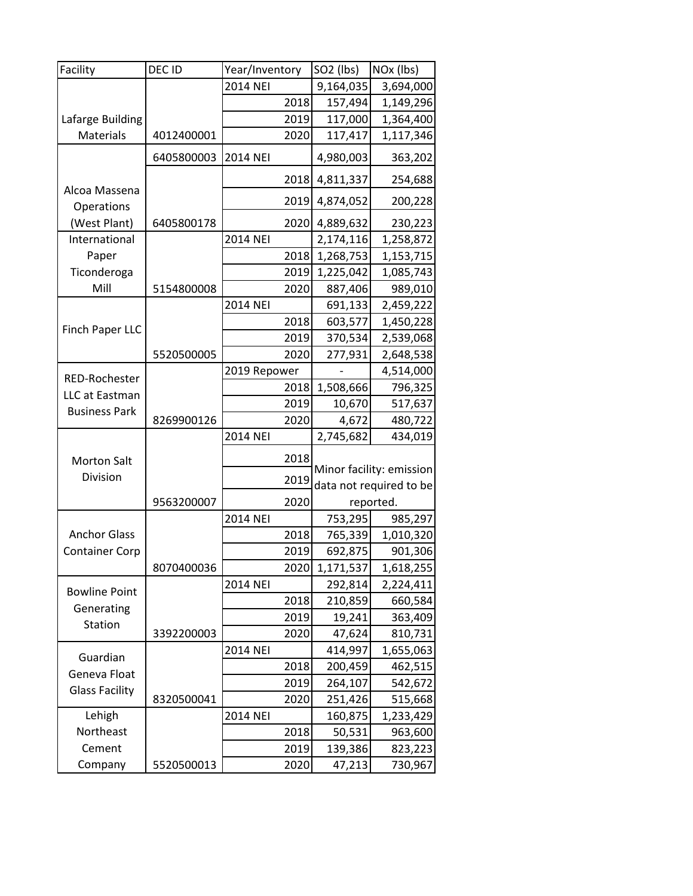| Facility                 | DEC ID     | Year/Inventory  |      | SO <sub>2</sub> (lbs) | NOx (lbs)                |
|--------------------------|------------|-----------------|------|-----------------------|--------------------------|
|                          |            | 2014 NEI        |      | 9,164,035             | 3,694,000                |
|                          |            |                 | 2018 | 157,494               | 1,149,296                |
| Lafarge Building         |            |                 | 2019 | 117,000               | 1,364,400                |
| <b>Materials</b>         | 4012400001 |                 | 2020 | 117,417               | 1,117,346                |
|                          | 6405800003 | <b>2014 NEI</b> |      | 4,980,003             | 363,202                  |
| Alcoa Massena            |            |                 | 2018 | 4,811,337             | 254,688                  |
| Operations               |            |                 | 2019 | 4,874,052             | 200,228                  |
| (West Plant)             | 6405800178 |                 | 2020 | 4,889,632             | 230,223                  |
| International            |            | 2014 NEI        |      | 2,174,116             | 1,258,872                |
| Paper                    |            |                 | 2018 | 1,268,753             | 1,153,715                |
| Ticonderoga              |            |                 | 2019 | 1,225,042             | 1,085,743                |
| Mill                     | 5154800008 |                 | 2020 | 887,406               | 989,010                  |
|                          |            | 2014 NEI        |      | 691,133               | 2,459,222                |
| Finch Paper LLC          |            |                 | 2018 | 603,577               | 1,450,228                |
|                          |            |                 | 2019 | 370,534               | 2,539,068                |
|                          | 5520500005 |                 | 2020 | 277,931               | 2,648,538                |
| RED-Rochester            |            | 2019 Repower    |      |                       | 4,514,000                |
| LLC at Eastman           |            |                 | 2018 | 1,508,666             | 796,325                  |
| <b>Business Park</b>     |            |                 | 2019 | 10,670                | 517,637                  |
|                          | 8269900126 |                 | 2020 | 4,672                 | 480,722                  |
|                          |            | 2014 NEI        |      | 2,745,682             | 434,019                  |
| <b>Morton Salt</b>       |            |                 | 2018 |                       | Minor facility: emission |
| Division                 |            |                 | 2019 |                       | data not required to be  |
|                          | 9563200007 |                 | 2020 |                       | reported.                |
|                          |            | 2014 NEI        |      | 753,295               | 985,297                  |
| <b>Anchor Glass</b>      |            |                 | 2018 | 765,339               | 1,010,320                |
| <b>Container Corp</b>    |            |                 | 2019 | 692,875               | 901,306                  |
|                          | 8070400036 |                 |      | 2020 1,171,537        | 1,618,255                |
|                          |            | 2014 NEI        |      | 292,814               | 2,224,411                |
| <b>Bowline Point</b>     |            |                 | 2018 | 210,859               | 660,584                  |
| Generating               |            |                 | 2019 | 19,241                | 363,409                  |
| Station                  | 3392200003 |                 | 2020 | 47,624                | 810,731                  |
| Guardian<br>Geneva Float |            | 2014 NEI        |      | 414,997               | 1,655,063                |
|                          |            |                 | 2018 | 200,459               | 462,515                  |
|                          |            |                 | 2019 | 264,107               | 542,672                  |
| <b>Glass Facility</b>    | 8320500041 |                 | 2020 | 251,426               | 515,668                  |
| Lehigh                   |            | 2014 NEI        |      | 160,875               | 1,233,429                |
| Northeast                |            |                 | 2018 | 50,531                | 963,600                  |
| Cement                   |            |                 | 2019 | 139,386               | 823,223                  |
| Company                  | 5520500013 |                 | 2020 | 47,213                | 730,967                  |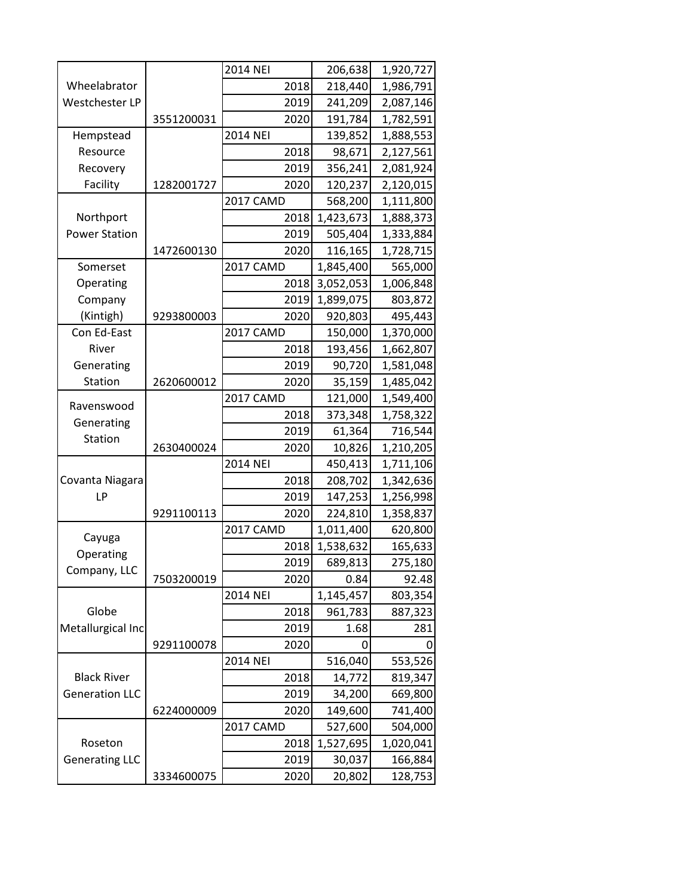|                                             |            | <b>2014 NEI</b>  | 206,638   | 1,920,727 |
|---------------------------------------------|------------|------------------|-----------|-----------|
| Wheelabrator                                |            | 2018             | 218,440   | 1,986,791 |
| Westchester LP                              |            | 2019             | 241,209   | 2,087,146 |
|                                             | 3551200031 | 2020             | 191,784   | 1,782,591 |
| Hempstead                                   |            | 2014 NEI         | 139,852   | 1,888,553 |
| Resource                                    |            | 2018             | 98,671    | 2,127,561 |
| Recovery                                    |            | 2019             | 356,241   | 2,081,924 |
| Facility                                    | 1282001727 | 2020             | 120,237   | 2,120,015 |
|                                             |            | <b>2017 CAMD</b> | 568,200   | 1,111,800 |
| Northport                                   |            | 2018             | 1,423,673 | 1,888,373 |
| <b>Power Station</b>                        |            | 2019             | 505,404   | 1,333,884 |
|                                             | 1472600130 | 2020             | 116,165   | 1,728,715 |
| Somerset                                    |            | 2017 CAMD        | 1,845,400 | 565,000   |
| Operating                                   |            | 2018             | 3,052,053 | 1,006,848 |
| Company                                     |            | 2019             | 1,899,075 | 803,872   |
| (Kintigh)                                   | 9293800003 | 2020             | 920,803   | 495,443   |
| Con Ed-East                                 |            | 2017 CAMD        | 150,000   | 1,370,000 |
| River                                       |            | 2018             | 193,456   | 1,662,807 |
| Generating                                  |            | 2019             | 90,720    | 1,581,048 |
| Station                                     | 2620600012 | 2020             | 35,159    | 1,485,042 |
| Ravenswood                                  |            | <b>2017 CAMD</b> | 121,000   | 1,549,400 |
| Generating                                  |            | 2018             | 373,348   | 1,758,322 |
| Station                                     |            | 2019             | 61,364    | 716,544   |
|                                             | 2630400024 | 2020             | 10,826    | 1,210,205 |
|                                             |            | 2014 NEI         | 450,413   | 1,711,106 |
| Covanta Niagara                             |            | 2018             | 208,702   | 1,342,636 |
| LP                                          |            | 2019             | 147,253   | 1,256,998 |
|                                             | 9291100113 | 2020             | 224,810   | 1,358,837 |
| Cayuga                                      |            | <b>2017 CAMD</b> | 1,011,400 | 620,800   |
| Operating                                   |            | 2018             | 1,538,632 | 165,633   |
| Company, LLC                                |            | 2019             | 689,813   | 275,180   |
|                                             | 7503200019 | 2020             | 0.84      | 92.48     |
|                                             |            | <b>2014 NEI</b>  | 1,145,457 | 803,354   |
| Globe                                       |            | 2018             | 961,783   | 887,323   |
| Metallurgical Inc                           |            | 2019             | 1.68      | 281       |
|                                             | 9291100078 | 2020             |           | 0         |
|                                             |            | 2014 NEI         | 516,040   | 553,526   |
| <b>Black River</b><br><b>Generation LLC</b> |            | 2018             | 14,772    | 819,347   |
|                                             |            | 2019             | 34,200    | 669,800   |
|                                             | 6224000009 | 2020             | 149,600   | 741,400   |
|                                             |            | 2017 CAMD        | 527,600   | 504,000   |
| Roseton                                     |            | 2018             | 1,527,695 | 1,020,041 |
| <b>Generating LLC</b>                       |            | 2019             | 30,037    | 166,884   |
|                                             | 3334600075 | 2020             | 20,802    | 128,753   |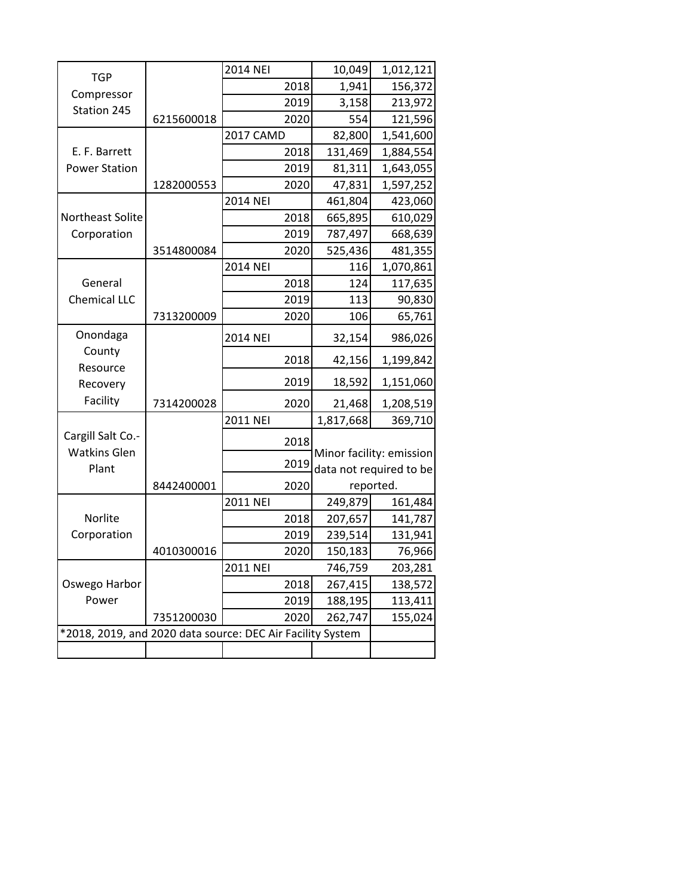|                                                            |            | 2014 NEI  |      | 10,049    | 1,012,121                                           |
|------------------------------------------------------------|------------|-----------|------|-----------|-----------------------------------------------------|
| <b>TGP</b>                                                 |            |           | 2018 | 1,941     | 156,372                                             |
| Compressor<br>Station 245                                  |            |           | 2019 | 3,158     | 213,972                                             |
|                                                            | 6215600018 |           | 2020 | 554       | 121,596                                             |
|                                                            |            | 2017 CAMD |      | 82,800    | 1,541,600                                           |
| E. F. Barrett                                              |            |           | 2018 | 131,469   | 1,884,554                                           |
| <b>Power Station</b>                                       |            |           | 2019 | 81,311    | 1,643,055                                           |
|                                                            | 1282000553 |           | 2020 | 47,831    | 1,597,252                                           |
|                                                            |            | 2014 NEI  |      | 461,804   | 423,060                                             |
| Northeast Solite                                           |            |           | 2018 | 665,895   | 610,029                                             |
| Corporation                                                |            |           | 2019 | 787,497   | 668,639                                             |
|                                                            | 3514800084 |           | 2020 | 525,436   | 481,355                                             |
|                                                            |            | 2014 NEI  |      | 116       | 1,070,861                                           |
| General                                                    |            |           | 2018 | 124       | 117,635                                             |
| <b>Chemical LLC</b>                                        |            |           | 2019 | 113       | 90,830                                              |
|                                                            | 7313200009 |           | 2020 | 106       | 65,761                                              |
| Onondaga                                                   |            | 2014 NEI  |      | 32,154    | 986,026                                             |
| County                                                     |            |           | 2018 | 42,156    | 1,199,842                                           |
| Resource<br>Recovery                                       |            |           | 2019 | 18,592    | 1,151,060                                           |
| Facility                                                   | 7314200028 |           | 2020 | 21,468    | 1,208,519                                           |
|                                                            |            | 2011 NEI  |      | 1,817,668 | 369,710                                             |
| Cargill Salt Co.-<br><b>Watkins Glen</b>                   |            |           | 2018 |           |                                                     |
| Plant                                                      |            |           | 2019 |           | Minor facility: emission<br>data not required to be |
|                                                            | 8442400001 |           | 2020 |           | reported.                                           |
|                                                            |            | 2011 NEI  |      | 249,879   | 161,484                                             |
| Norlite                                                    |            |           | 2018 | 207,657   | 141,787                                             |
| Corporation                                                |            |           | 2019 | 239,514   | 131,941                                             |
|                                                            | 4010300016 |           | 2020 | 150,183   | 76,966                                              |
|                                                            |            | 2011 NEI  |      | 746,759   | 203,281                                             |
| Oswego Harbor                                              |            |           | 2018 | 267,415   | 138,572                                             |
| Power                                                      |            |           | 2019 | 188,195   | 113,411                                             |
|                                                            | 7351200030 |           | 2020 | 262,747   | 155,024                                             |
| *2018, 2019, and 2020 data source: DEC Air Facility System |            |           |      |           |                                                     |
|                                                            |            |           |      |           |                                                     |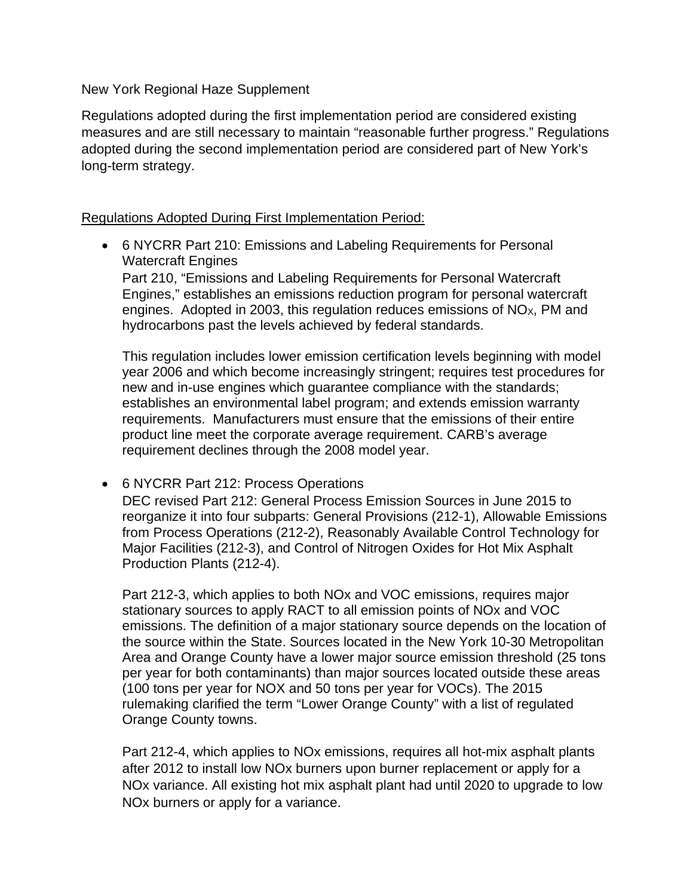New York Regional Haze Supplement

Regulations adopted during the first implementation period are considered existing measures and are still necessary to maintain "reasonable further progress." Regulations adopted during the second implementation period are considered part of New York's long-term strategy.

### Regulations Adopted During First Implementation Period:

• 6 NYCRR Part 210: Emissions and Labeling Requirements for Personal Watercraft Engines

 Part 210, "Emissions and Labeling Requirements for Personal Watercraft Engines," establishes an emissions reduction program for personal watercraft engines. Adopted in 2003, this regulation reduces emissions of NO $x$ , PM and hydrocarbons past the levels achieved by federal standards.

 establishes an environmental label program; and extends emission warranty This regulation includes lower emission certification levels beginning with model year 2006 and which become increasingly stringent; requires test procedures for new and in-use engines which guarantee compliance with the standards; requirements. Manufacturers must ensure that the emissions of their entire product line meet the corporate average requirement. CARB's average requirement declines through the 2008 model year.

### • 6 NYCRR Part 212: Process Operations

 DEC revised Part 212: General Process Emission Sources in June 2015 to Major Facilities (212-3), and Control of Nitrogen Oxides for Hot Mix Asphalt reorganize it into four subparts: General Provisions (212-1), Allowable Emissions from Process Operations (212-2), Reasonably Available Control Technology for Production Plants (212-4).

Part 212-3, which applies to both NOx and VOC emissions, requires major stationary sources to apply RACT to all emission points of NOx and VOC emissions. The definition of a major stationary source depends on the location of the source within the State. Sources located in the New York 10-30 Metropolitan Area and Orange County have a lower major source emission threshold (25 tons per year for both contaminants) than major sources located outside these areas (100 tons per year for NOX and 50 tons per year for VOCs). The 2015 rulemaking clarified the term "Lower Orange County" with a list of regulated Orange County towns.

Part 212-4, which applies to NOx emissions, requires all hot-mix asphalt plants after 2012 to install low NOx burners upon burner replacement or apply for a NOx variance. All existing hot mix asphalt plant had until 2020 to upgrade to low NOx burners or apply for a variance.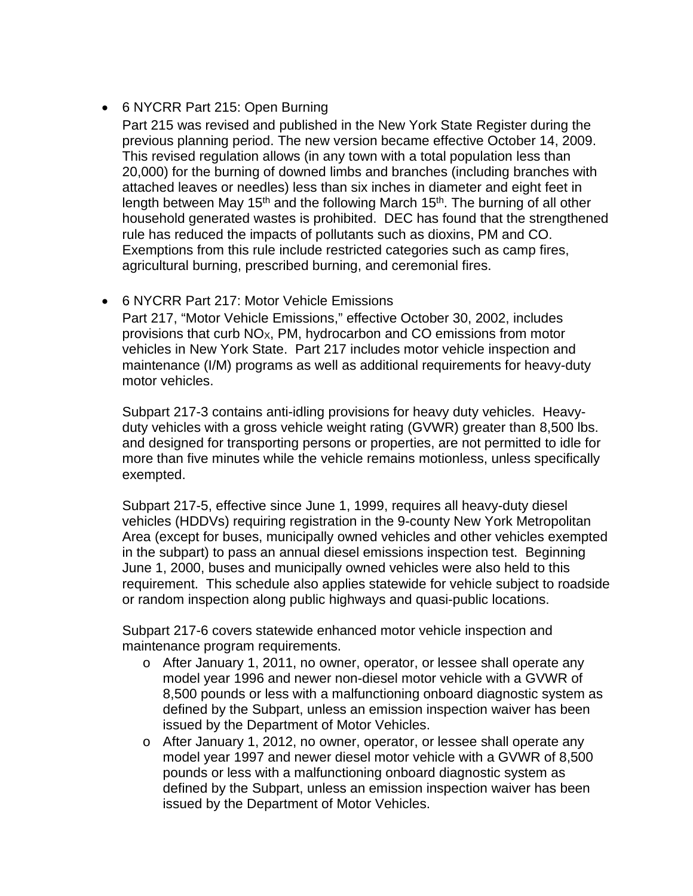## • 6 NYCRR Part 215: Open Burning

 previous planning period. The new version became effective October 14, 2009. household generated wastes is prohibited. DEC has found that the strengthened rule has reduced the impacts of pollutants such as dioxins, PM and CO. Part 215 was revised and published in the New York State Register during the This revised regulation allows (in any town with a total population less than 20,000) for the burning of downed limbs and branches (including branches with attached leaves or needles) less than six inches in diameter and eight feet in length between May 15<sup>th</sup> and the following March 15<sup>th</sup>. The burning of all other Exemptions from this rule include restricted categories such as camp fires, agricultural burning, prescribed burning, and ceremonial fires.

## • 6 NYCRR Part 217: Motor Vehicle Emissions

provisions that curb NO<sub>X</sub>, PM, hydrocarbon and CO emissions from motor vehicles in New York State. Part 217 includes motor vehicle inspection and maintenance (I/M) programs as well as additional requirements for heavy-duty Part 217, "Motor Vehicle Emissions," effective October 30, 2002, includes motor vehicles.

 Subpart 217-3 contains anti-idling provisions for heavy duty vehicles. Heavy- and designed for transporting persons or properties, are not permitted to idle for duty vehicles with a gross vehicle weight rating (GVWR) greater than 8,500 lbs. more than five minutes while the vehicle remains motionless, unless specifically exempted.

 in the subpart) to pass an annual diesel emissions inspection test. Beginning requirement. This schedule also applies statewide for vehicle subject to roadside Subpart 217-5, effective since June 1, 1999, requires all heavy-duty diesel vehicles (HDDVs) requiring registration in the 9-county New York Metropolitan Area (except for buses, municipally owned vehicles and other vehicles exempted June 1, 2000, buses and municipally owned vehicles were also held to this or random inspection along public highways and quasi-public locations.

Subpart 217-6 covers statewide enhanced motor vehicle inspection and maintenance program requirements.

- o After January 1, 2011, no owner, operator, or lessee shall operate any model year 1996 and newer non-diesel motor vehicle with a GVWR of 8,500 pounds or less with a malfunctioning onboard diagnostic system as defined by the Subpart, unless an emission inspection waiver has been issued by the Department of Motor Vehicles.
- o After January 1, 2012, no owner, operator, or lessee shall operate any model year 1997 and newer diesel motor vehicle with a GVWR of 8,500 pounds or less with a malfunctioning onboard diagnostic system as defined by the Subpart, unless an emission inspection waiver has been issued by the Department of Motor Vehicles.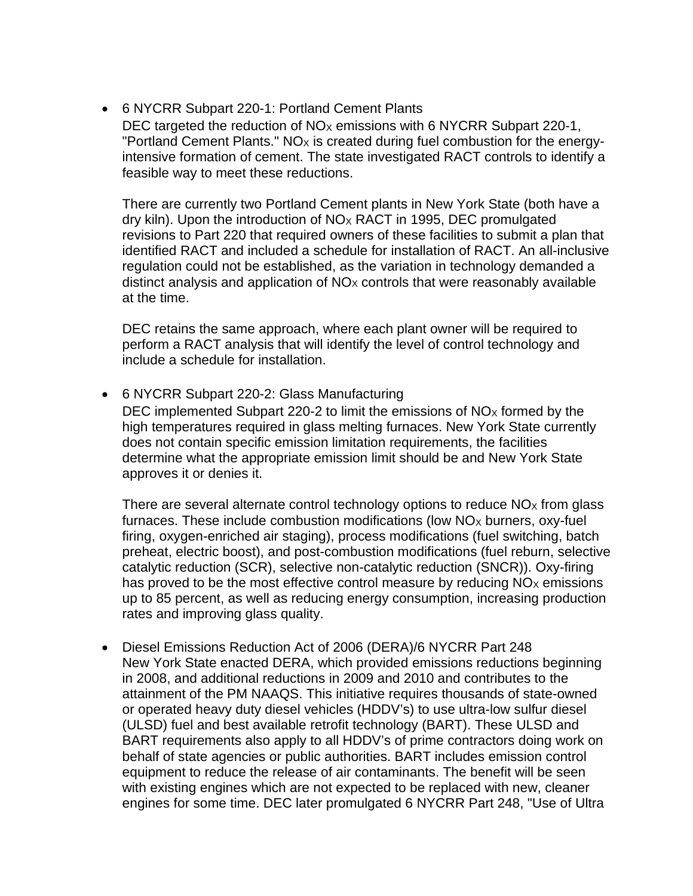• 6 NYCRR Subpart 220-1: Portland Cement Plants

DEC targeted the reduction of  $NO<sub>x</sub>$  emissions with 6 NYCRR Subpart 220-1, "Portland Cement Plants." NO<sub>x</sub> is created during fuel combustion for the energyintensive formation of cement. The state investigated RACT controls to identify a feasible way to meet these reductions.

There are currently two Portland Cement plants in New York State (both have a dry kiln). Upon the introduction of  $NO<sub>X</sub>$  RACT in 1995, DEC promulgated revisions to Part 220 that required owners of these facilities to submit a plan that identified RACT and included a schedule for installation of RACT. An all-inclusive regulation could not be established, as the variation in technology demanded a distinct analysis and application of  $NO<sub>X</sub>$  controls that were reasonably available at the time.

 DEC retains the same approach, where each plant owner will be required to perform a RACT analysis that will identify the level of control technology and include a schedule for installation.

• 6 NYCRR Subpart 220-2: Glass Manufacturing

DEC implemented Subpart 220-2 to limit the emissions of  $NO<sub>x</sub>$  formed by the high temperatures required in glass melting furnaces. New York State currently does not contain specific emission limitation requirements, the facilities determine what the appropriate emission limit should be and New York State approves it or denies it.

There are several alternate control technology options to reduce  $NO<sub>x</sub>$  from glass furnaces. These include combustion modifications (low  $NO<sub>x</sub>$  burners, oxy-fuel firing, oxygen-enriched air staging), process modifications (fuel switching, batch preheat, electric boost), and post-combustion modifications (fuel reburn, selective catalytic reduction (SCR), selective non-catalytic reduction (SNCR)). Oxy-firing has proved to be the most effective control measure by reducing  $NO<sub>x</sub>$  emissions up to 85 percent, as well as reducing energy consumption, increasing production rates and improving glass quality.

 behalf of state agencies or public authorities. BART includes emission control • Diesel Emissions Reduction Act of 2006 (DERA)/6 NYCRR Part 248 New York State enacted DERA, which provided emissions reductions beginning in 2008, and additional reductions in 2009 and 2010 and contributes to the attainment of the PM NAAQS. This initiative requires thousands of state-owned or operated heavy duty diesel vehicles (HDDV's) to use ultra-low sulfur diesel (ULSD) fuel and best available retrofit technology (BART). These ULSD and BART requirements also apply to all HDDV's of prime contractors doing work on equipment to reduce the release of air contaminants. The benefit will be seen with existing engines which are not expected to be replaced with new, cleaner engines for some time. DEC later promulgated 6 NYCRR Part 248, "Use of Ultra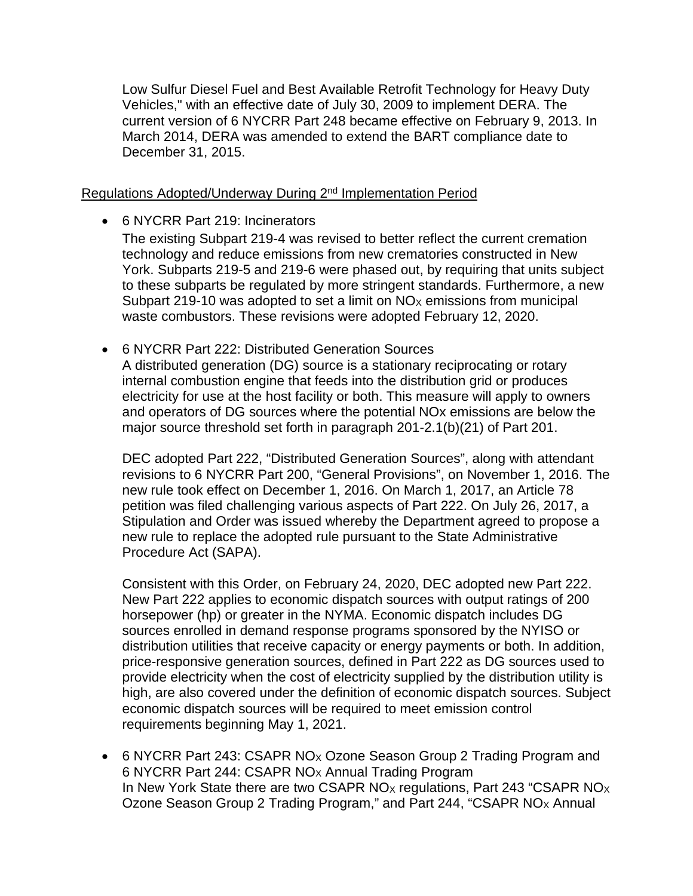current version of 6 NYCRR Part 248 became effective on February 9, 2013. In Low Sulfur Diesel Fuel and Best Available Retrofit Technology for Heavy Duty Vehicles," with an effective date of July 30, 2009 to implement DERA. The March 2014, DERA was amended to extend the BART compliance date to December 31, 2015.

### Regulations Adopted/Underway During 2<sup>nd</sup> Implementation Period

• 6 NYCRR Part 219: Incinerators

The existing Subpart 219-4 was revised to better reflect the current cremation technology and reduce emissions from new crematories constructed in New York. Subparts 219-5 and 219-6 were phased out, by requiring that units subject to these subparts be regulated by more stringent standards. Furthermore, a new Subpart 219-10 was adopted to set a limit on  $NO<sub>X</sub>$  emissions from municipal waste combustors. These revisions were adopted February 12, 2020.

 A distributed generation (DG) source is a stationary reciprocating or rotary electricity for use at the host facility or both. This measure will apply to owners major source threshold set forth in paragraph 201-2.1(b)(21) of Part 201. • 6 NYCRR Part 222: Distributed Generation Sources internal combustion engine that feeds into the distribution grid or produces and operators of DG sources where the potential NOx emissions are below the

DEC adopted Part 222, "Distributed Generation Sources", along with attendant revisions to 6 NYCRR Part 200, "General Provisions", on November 1, 2016. The new rule took effect on December 1, 2016. On March 1, 2017, an Article 78 petition was filed challenging various aspects of Part 222. On July 26, 2017, a Stipulation and Order was issued whereby the Department agreed to propose a new rule to replace the adopted rule pursuant to the State Administrative Procedure Act (SAPA).

 provide electricity when the cost of electricity supplied by the distribution utility is high, are also covered under the definition of economic dispatch sources. Subject Consistent with this Order, on February 24, 2020, DEC adopted new Part 222. New Part 222 applies to economic dispatch sources with output ratings of 200 horsepower (hp) or greater in the NYMA. Economic dispatch includes DG sources enrolled in demand response programs sponsored by the NYISO or distribution utilities that receive capacity or energy payments or both. In addition, price-responsive generation sources, defined in Part 222 as DG sources used to economic dispatch sources will be required to meet emission control requirements beginning May 1, 2021.

• 6 NYCRR Part 243: CSAPR NOx Ozone Season Group 2 Trading Program and 6 NYCRR Part 244: CSAPR  $NO<sub>X</sub>$  Annual Trading Program In New York State there are two CSAPR NO<sub>x</sub> regulations, Part 243 "CSAPR NO<sub>x</sub> Ozone Season Group 2 Trading Program," and Part 244, "CSAPR NOX Annual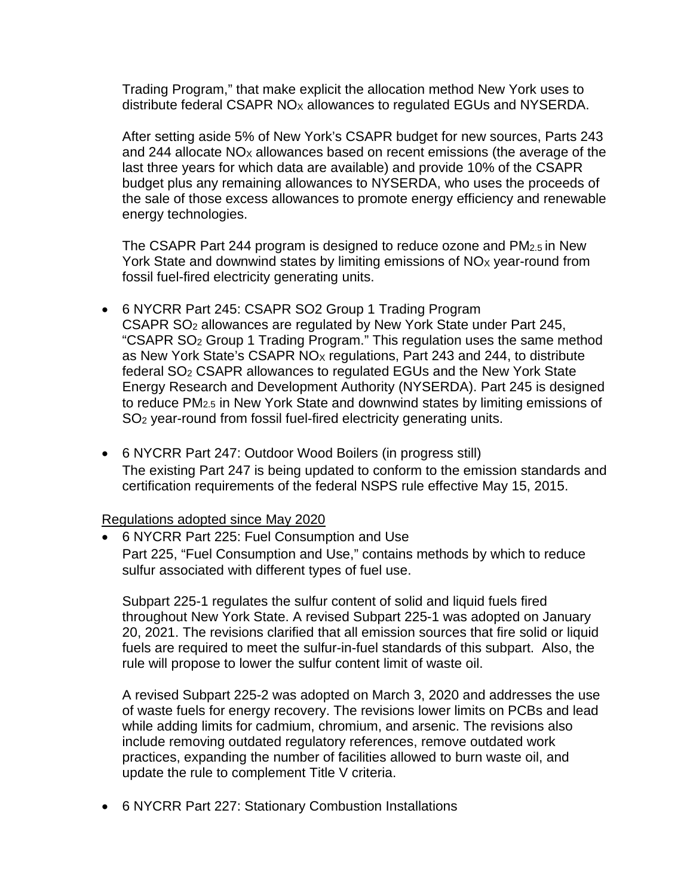Trading Program," that make explicit the allocation method New York uses to distribute federal CSAPR NO<sub>x</sub> allowances to regulated EGUs and NYSERDA.

 After setting aside 5% of New York's CSAPR budget for new sources, Parts 243 and 244 allocate  $NO<sub>X</sub>$  allowances based on recent emissions (the average of the last three years for which data are available) and provide 10% of the CSAPR budget plus any remaining allowances to NYSERDA, who uses the proceeds of the sale of those excess allowances to promote energy efficiency and renewable energy technologies.

 The CSAPR Part 244 program is designed to reduce ozone and PM2.5 in New York State and downwind states by limiting emissions of  $NO<sub>x</sub>$  year-round from fossil fuel-fired electricity generating units.

- to reduce PM2.5 in New York State and downwind states by limiting emissions of SO2 year-round from fossil fuel-fired electricity generating units. • 6 NYCRR Part 245: CSAPR SO2 Group 1 Trading Program CSAPR SO2 allowances are regulated by New York State under Part 245, "CSAPR SO2 Group 1 Trading Program." This regulation uses the same method as New York State's CSAPR NO<sub>x</sub> regulations, Part 243 and 244, to distribute federal SO2 CSAPR allowances to regulated EGUs and the New York State Energy Research and Development Authority (NYSERDA). Part 245 is designed
- 6 NYCRR Part 247: Outdoor Wood Boilers (in progress still) The existing Part 247 is being updated to conform to the emission standards and certification requirements of the federal NSPS rule effective May 15, 2015.

### Regulations adopted since May 2020

• 6 NYCRR Part 225: Fuel Consumption and Use Part 225, "Fuel Consumption and Use," contains methods by which to reduce sulfur associated with different types of fuel use.

 Subpart 225-1 regulates the sulfur content of solid and liquid fuels fired throughout New York State. A revised Subpart 225-1 was adopted on January 20, 2021. The revisions clarified that all emission sources that fire solid or liquid fuels are required to meet the sulfur-in-fuel standards of this subpart. Also, the rule will propose to lower the sulfur content limit of waste oil.

A revised Subpart 225-2 was adopted on March 3, 2020 and addresses the use of waste fuels for energy recovery. The revisions lower limits on PCBs and lead while adding limits for cadmium, chromium, and arsenic. The revisions also include removing outdated regulatory references, remove outdated work practices, expanding the number of facilities allowed to burn waste oil, and update the rule to complement Title V criteria.

• 6 NYCRR Part 227: Stationary Combustion Installations